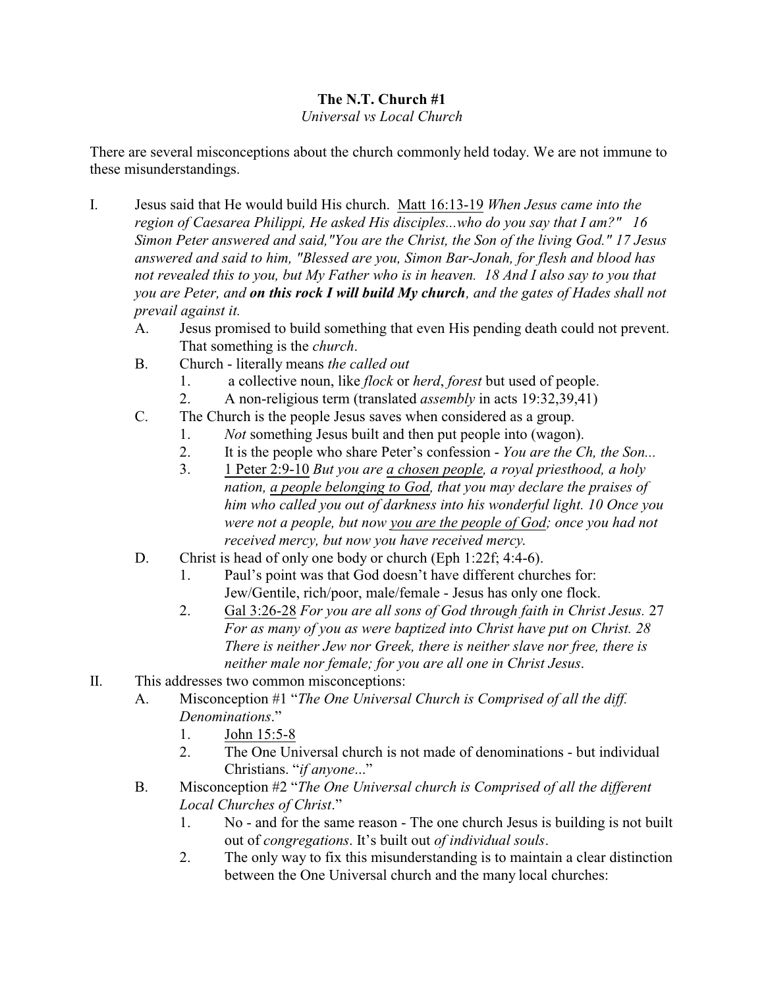# **The N.T. Church #1**

### *Universal vs Local Church*

There are several misconceptions about the church commonly held today. We are not immune to these misunderstandings.

- I. Jesus said that He would build His church. Matt 16:13-19 *When Jesus came into the region of Caesarea Philippi, He asked His disciples...who do you say that I am?" 16 Simon Peter answered and said,"You are the Christ, the Son of the living God." 17 Jesus answered and said to him, "Blessed are you, Simon Bar-Jonah, for flesh and blood has not revealed this to you, but My Father who is in heaven. 18 And I also say to you that you are Peter, and on this rock I will build My church, and the gates of Hades shall not prevail against it.* 
	- A. Jesus promised to build something that even His pending death could not prevent. That something is the *church*.
	- B. Church literally means *the called out*
		- 1. a collective noun, like *flock* or *herd*, *forest* but used of people.
		- 2. A non-religious term (translated *assembly* in acts 19:32,39,41)
	- C. The Church is the people Jesus saves when considered as a group.
		- 1. *Not* something Jesus built and then put people into (wagon).
		- 2. It is the people who share Peter's confession *You are the Ch, the Son...*
		- 3. 1 Peter 2:9-10 *But you are a chosen people, a royal priesthood, a holy nation, a people belonging to God, that you may declare the praises of him who called you out of darkness into his wonderful light. 10 Once you were not a people, but now you are the people of God; once you had not received mercy, but now you have received mercy*.
	- D. Christ is head of only one body or church (Eph 1:22f; 4:4-6).
		- 1. Paul's point was that God doesn't have different churches for: Jew/Gentile, rich/poor, male/female - Jesus has only one flock.
		- 2. Gal 3:26-28 *For you are all sons of God through faith in Christ Jesus.* 27 *For as many of you as were baptized into Christ have put on Christ. 28 There is neither Jew nor Greek, there is neither slave nor free, there is neither male nor female; for you are all one in Christ Jesus*.
- II. This addresses two common misconceptions:
	- A. Misconception #1 "*The One Universal Church is Comprised of all the diff. Denominations*."
		- 1. John 15:5-8
		- 2. The One Universal church is not made of denominations but individual Christians. "*if anyone*..."
	- B. Misconception #2 "*The One Universal church is Comprised of all the different Local Churches of Christ*."
		- 1. No and for the same reason The one church Jesus is building is not built out of *congregations*. It's built out *of individual souls*.
		- 2. The only way to fix this misunderstanding is to maintain a clear distinction between the One Universal church and the many local churches: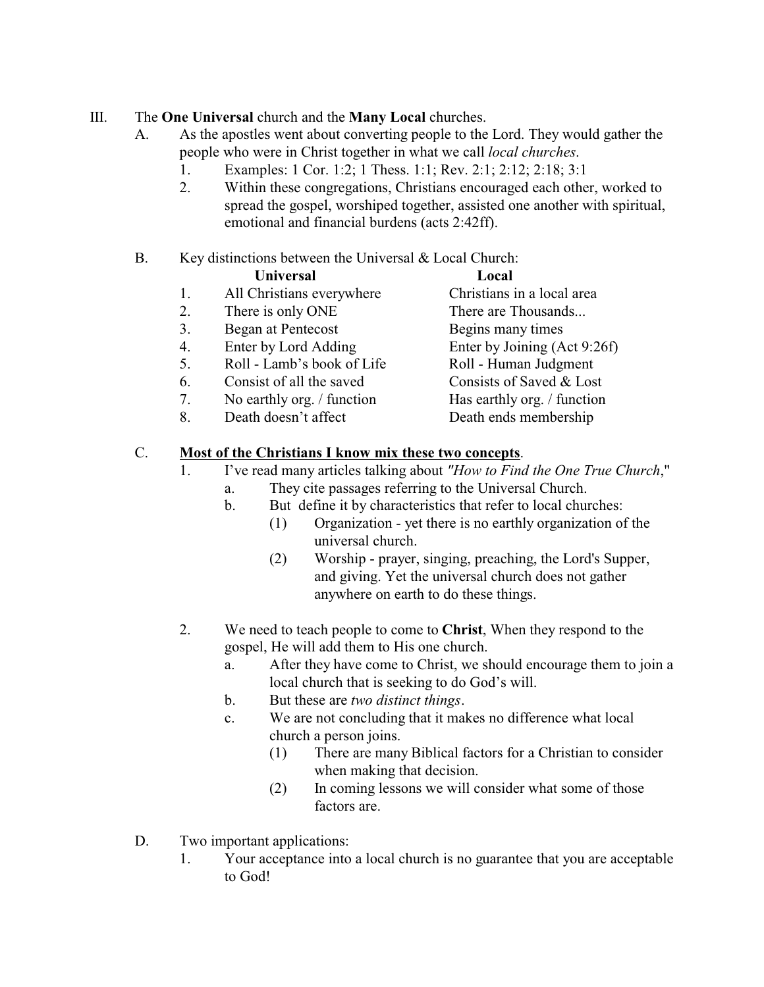# III. The **One Universal** church and the **Many Local** churches.

- A. As the apostles went about converting people to the Lord. They would gather the people who were in Christ together in what we call *local churches*.
	- 1. Examples: 1 Cor. 1:2; 1 Thess. 1:1; Rev. 2:1; 2:12; 2:18; 3:1
	- 2. Within these congregations, Christians encouraged each other, worked to spread the gospel, worshiped together, assisted one another with spiritual, emotional and financial burdens (acts 2:42ff).

### B. Key distinctions between the Universal & Local Church:

| <b>Universal</b> | Local |
|------------------|-------|
|                  |       |

- 1. All Christians everywhere Christians in a local area
- 2. There is only ONE There are Thousands...
- 3. Began at Pentecost Begins many times
- 4. Enter by Lord Adding Enter by Joining (Act 9:26f)
- 5. Roll Lamb's book of Life Roll Human Judgment
- 
- 7. No earthly org. / function Has earthly org. / function
- 

- 
- 6. Consist of all the saved Consists of Saved & Lost
	-
- 8. Death doesn't affect Death ends membership

# C. **Most of the Christians I know mix these two concepts**.

- 1. I've read many articles talking about *"How to Find the One True Church*," a. They cite passages referring to the Universal Church.
	- b. But define it by characteristics that refer to local churches:
		- (1) Organization yet there is no earthly organization of the universal church.
		- (2) Worship prayer, singing, preaching, the Lord's Supper, and giving. Yet the universal church does not gather anywhere on earth to do these things.
- 2. We need to teach people to come to **Christ**, When they respond to the gospel, He will add them to His one church.
	- a. After they have come to Christ, we should encourage them to join a local church that is seeking to do God's will.
	- b. But these are *two distinct things*.
	- c. We are not concluding that it makes no difference what local church a person joins.
		- (1) There are many Biblical factors for a Christian to consider when making that decision.
		- (2) In coming lessons we will consider what some of those factors are.
- D. Two important applications:
	- 1. Your acceptance into a local church is no guarantee that you are acceptable to God!